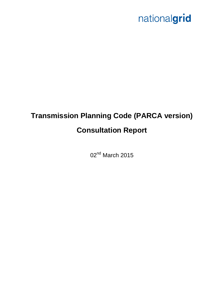

# **Transmission Planning Code (PARCA version) Consultation Report**

02<sup>nd</sup> March 2015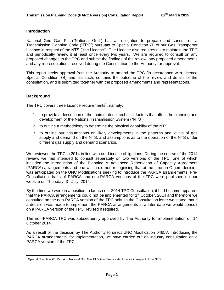### **Introduction**

National Grid Gas Plc ("National Grid") has an obligation to prepare and consult on a Transmission Planning Code ("TPC") pursuant to Special Condition 7B of our Gas Transporter Licence in respect of the NTS ("the Licence"). The Licence also requires us to maintain the TPC and periodically review it at least once every two years. We are required to consult on any proposed changes to the TPC and submit the findings of the review, any proposed amendments and any representations received during the Consultation to the Authority for approval.

This report seeks approval from the Authority to amend the TPC (in accordance with Licence Special Condition 7B) and, as such, contains the outcome of the review and details of the consultation, and is submitted together with the proposed amendments and representations.

#### **Background**

The TPC covers three Licence requirements<sup>1</sup>, namely:

- 1. to provide a description of the main material technical factors that affect the planning and development of the National Transmission System ("NTS"),
- 2. to outline a methodology to determine the physical capability of the NTS,
- 3. to outline our assumptions on likely developments in the patterns and levels of gas supply and demand on the NTS, and assumptions as to the operation of the NTS under different gas supply and demand scenarios.

We reviewed the TPC in 2014 in line with our Licence obligations. During the course of the 2014 review, we had intended to consult separately on two versions of the TPC, one of which included the introduction of the Planning & Advanced Reservation of Capacity Agreement (PARCA) arrangements and one which did not, recognising that at the time an Ofgem decision was anticipated on the UNC Modifications seeking to introduce the PARCA arrangements. Pre-Consultation drafts of PARCA and non-PARCA versions of the TPC were published on our website on Thursday, 3<sup>rd</sup> July, 2014.

By the time we were in a position to launch our 2014 TPC Consultation, it had become apparent that the PARCA arrangements could not be implemented for 1<sup>st</sup> October, 2014 and therefore we consulted on the non-PARCA version of the TPC only. In the Consultation letter we stated that if a decision was made to implement the PARCA arrangements at a later date we would consult on a PARCA version of the TPC, revised if required.

The non-PARCA TPC was subsequently approved by The Authority for implementation on 1<sup>st</sup> October 2014.

As a result of the decision by The Authority to direct UNC Modification 0465V, introducing the PARCA arrangements, for implementation, we have carried out an industry consultation on a PARCA version of the TPC.

 $\overline{a}$ <sup>1</sup> Special Condition 7B, Part A of National Grid Gas Plc's Gas Transporter Licence in respect of the NTS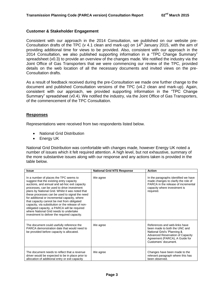#### **Customer & Stakeholder Engagement**

Consistent with our approach in the 2014 Consultation, we published on our website pre-Consultation drafts of the TPC (v 4.1 clean and mark-up) on  $14<sup>th</sup>$  January 2015, with the aim of providing additional time for views to be provided. Also, consistent with our approach in the 2014 Consultation, we also published supporting information in a "TPC Change Summary" spreadsheet (v0.3) to provide an overview of the changes made. We notified the industry via the Joint Office of Gas Transporters that we were commencing our review of the TPC, provided details on the web location of all the necessary documents and invited views on the pre-Consultation drafts.

As a result of feedback received during the pre-Consultation we made one further change to the document and published Consultation versions of the TPC (v4.2 clean and mark-up). Again, consistent with our approach, we provided supporting information in the "TPC Change Summary" spreadsheet (v0.4). We notified the industry, via the Joint Office of Gas Transporters, of the commencement of the TPC Consultation.

#### **Responses**

Representations were received from two respondents listed below.

- National Grid Distribution
- Energy UK

National Grid Distribution was comfortable with changes made, however Energy UK noted a number of issues which it felt required attention. A high level, but not exhaustive, summary of the more substantive issues along with our response and any actions taken is provided in the table below.

| <b>Issue</b>                                                                                                                                                                                                                                                                                                                                                                                                                                                                                                                                                                          | <b>National Grid NTS Response</b> | <b>Action</b>                                                                                                                                                                               |
|---------------------------------------------------------------------------------------------------------------------------------------------------------------------------------------------------------------------------------------------------------------------------------------------------------------------------------------------------------------------------------------------------------------------------------------------------------------------------------------------------------------------------------------------------------------------------------------|-----------------------------------|---------------------------------------------------------------------------------------------------------------------------------------------------------------------------------------------|
| In a number of places the TPC seems to<br>suggest that the existing entry capacity<br>auctions, and annual and ad-hoc exit capacity<br>processes, can be used to drive investment<br>plans by National Grid. Whilst it was noted that<br>these processes can be used to signal the need<br>for additional or incremental capacity, where<br>that capacity cannot be met from obligated<br>capacity, via substitution or the release of non-<br>obligated capacity, a PARCA will be required<br>where National Grid needs to undertake<br>investment to deliver the required capacity. | We agree                          | In the paragraphs identified we have<br>made changes to clarify the role of<br>PARCA in the release of incremental<br>capacity where investment is<br>required.                             |
| The document could usefully reference the<br>PARCA demonstration date that would need to<br>be provided before capacity is allocated.                                                                                                                                                                                                                                                                                                                                                                                                                                                 | We agree                          | References and web-links have<br>been made to both the UNC and<br>National Grid's 'Planning &<br>Advanced Reservation of Capacity<br>Agreement (PARCA), A Guide for<br>Customers' document. |
| The document needs to reflect that a revenue<br>driver would be expected to be in place prior to<br>allocation of additional entry or exit capacity                                                                                                                                                                                                                                                                                                                                                                                                                                   | We agree                          | Changes have been made to the<br>relevant paragraph where this has<br>been observed.                                                                                                        |